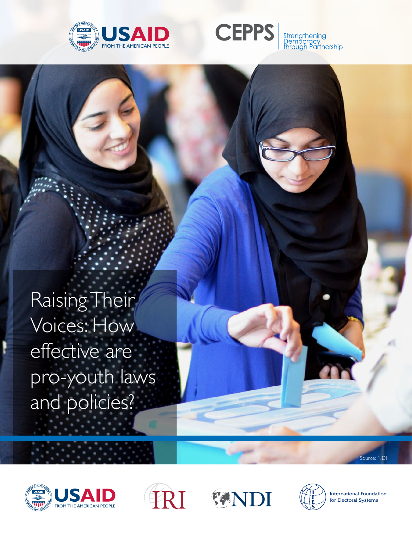



Raising Their Voices: How effective are pro-youth laws and policies?

ource: NDI









**International Foundation** for Electoral Systems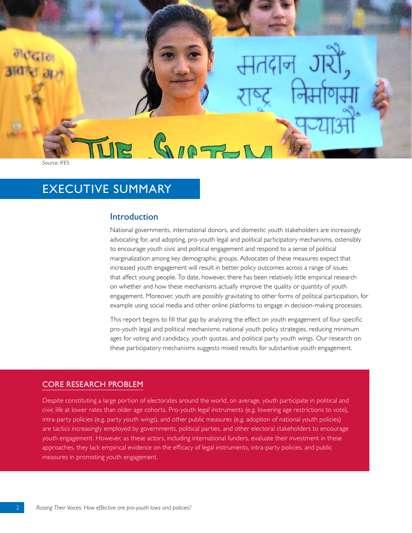Source: IFES

# **EXECUTIVE SUMMARY**

# Introduction

National governments, international donors, and domestic youth stakeholders are increasingly advocating for, and adopting, pro-youth legal and political participatory mechanisms, ostensibly to encourage youth civic and political engagement and respond to a sense of political marginalization among key demographic groups. Advocates of these measures expect that increased youth engagement will result in better policy outcomes across a range of issues that affect young people. To date, however, there has been relatively little empirical research on whether and how these mechanisms actually improve the quality or quantity of youth engagement. Moreover, youth are possibly gravitating to other forms of political participation, for example using social media and other online platforms to engage in decision-making processes.

This report begins to fill that gap by analyzing the effect on youth engagement of four specific pro-youth legal and political mechanisms: national youth policy strategies, reducing minimum ages for voting and candidacy, youth quotas, and political party youth wings. Our research on these participatory mechanisms suggests mixed results for substantive youth engagement.

## **CORE RESEARCH PROBLEM**

Despite constituting a large portion of electorates around the world, on average, youth participate in political and civic life at lower rates than older age cohorts. Pro-youth legal instruments (e.g. lowering age restrictions to vote), intra-party policies (e.g. party youth wings), and other public measures (e.g. adoption of national youth policies) are tactics increasingly employed by governments, political parties, and other electoral stakeholders to encourage youth engagement. However, as these actors, including international funders, evaluate their investment in these approaches, they lack empirical evidence on the efficacy of legal instruments, intra-party policies, and public measures in promoting youth engagement.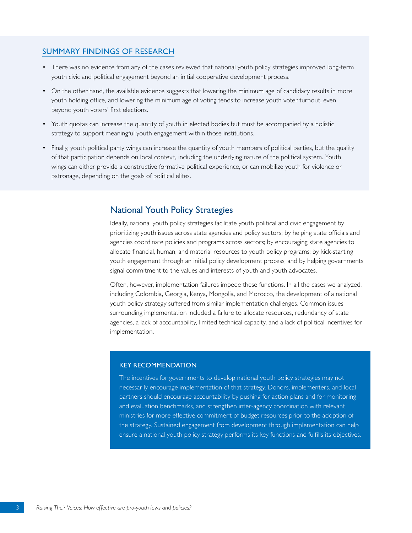## **SUMMARY FINDINGS OF RESEARCH**

- There was no evidence from any of the cases reviewed that national youth policy strategies improved long-term youth civic and political engagement beyond an initial cooperative development process.
- On the other hand, the available evidence suggests that lowering the minimum age of candidacy results in more youth holding office, and lowering the minimum age of voting tends to increase youth voter turnout, even beyond youth voters' first elections.
- Youth quotas can increase the quantity of youth in elected bodies but must be accompanied by a holistic strategy to support meaningful youth engagement within those institutions.
- Finally, youth political party wings can increase the quantity of youth members of political parties, but the quality of that participation depends on local context, including the underlying nature of the political system. Youth wings can either provide a constructive formative political experience, or can mobilize youth for violence or patronage, depending on the goals of political elites.

# **National Youth Policy Strategies**

Ideally, national youth policy strategies facilitate youth political and civic engagement by prioritizing youth issues across state agencies and policy sectors; by helping state officials and agencies coordinate policies and programs across sectors; by encouraging state agencies to allocate financial, human, and material resources to youth policy programs; by kick-starting youth engagement through an initial policy development process; and by helping governments signal commitment to the values and interests of youth and youth advocates.

Often, however, implementation failures impede these functions. In all the cases we analyzed, including Colombia, Georgia, Kenya, Mongolia, and Morocco, the development of a national youth policy strategy suffered from similar implementation challenges. Common issues surrounding implementation included a failure to allocate resources, redundancy of state agencies, a lack of accountability, limited technical capacity, and a lack of political incentives for implementation.

#### **KEY RECOMMENDATION**

The incentives for governments to develop national youth policy strategies may not necessarily encourage implementation of that strategy. Donors, implementers, and local partners should encourage accountability by pushing for action plans and for monitoring and evaluation benchmarks, and strengthen inter-agency coordination with relevant ministries for more effective commitment of budget resources prior to the adoption of the strategy. Sustained engagement from development through implementation can help ensure a national youth policy strategy performs its key functions and fulfills its objectives.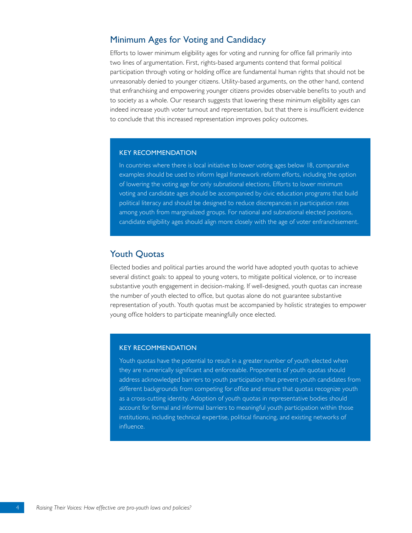# Minimum Ages for Voting and Candidacy

Efforts to lower minimum eligibility ages for voting and running for office fall primarily into two lines of argumentation. First, rights-based arguments contend that formal political participation through voting or holding office are fundamental human rights that should not be unreasonably denied to younger citizens. Utility-based arguments, on the other hand, contend that enfranchising and empowering younger citizens provides observable benefits to youth and to society as a whole. Our research suggests that lowering these minimum eligibility ages can indeed increase youth voter turnout and representation, but that there is insufficient evidence to conclude that this increased representation improves policy outcomes.

#### **KEY RECOMMENDATION**

In countries where there is local initiative to lower voting ages below 18, comparative examples should be used to inform legal framework reform efforts, including the option of lowering the voting age for only subnational elections. Efforts to lower minimum voting and candidate ages should be accompanied by civic education programs that build political literacy and should be designed to reduce discrepancies in participation rates among youth from marginalized groups. For national and subnational elected positions, candidate eligibility ages should align more closely with the age of voter enfranchisement.

## **Youth Quotas**

Elected bodies and political parties around the world have adopted youth quotas to achieve several distinct goals: to appeal to young voters, to mitigate political violence, or to increase substantive youth engagement in decision-making. If well-designed, youth quotas can increase the number of youth elected to office, but quotas alone do not guarantee substantive representation of youth. Youth quotas must be accompanied by holistic strategies to empower young office holders to participate meaningfully once elected.

#### **KEY RECOMMENDATION**

Youth quotas have the potential to result in a greater number of youth elected when they are numerically significant and enforceable. Proponents of youth quotas should address acknowledged barriers to youth participation that prevent youth candidates from different backgrounds from competing for office and ensure that quotas recognize youth as a cross-cutting identity. Adoption of youth quotas in representative bodies should account for formal and informal barriers to meaningful youth participation within those institutions, including technical expertise, political financing, and existing networks of influence.